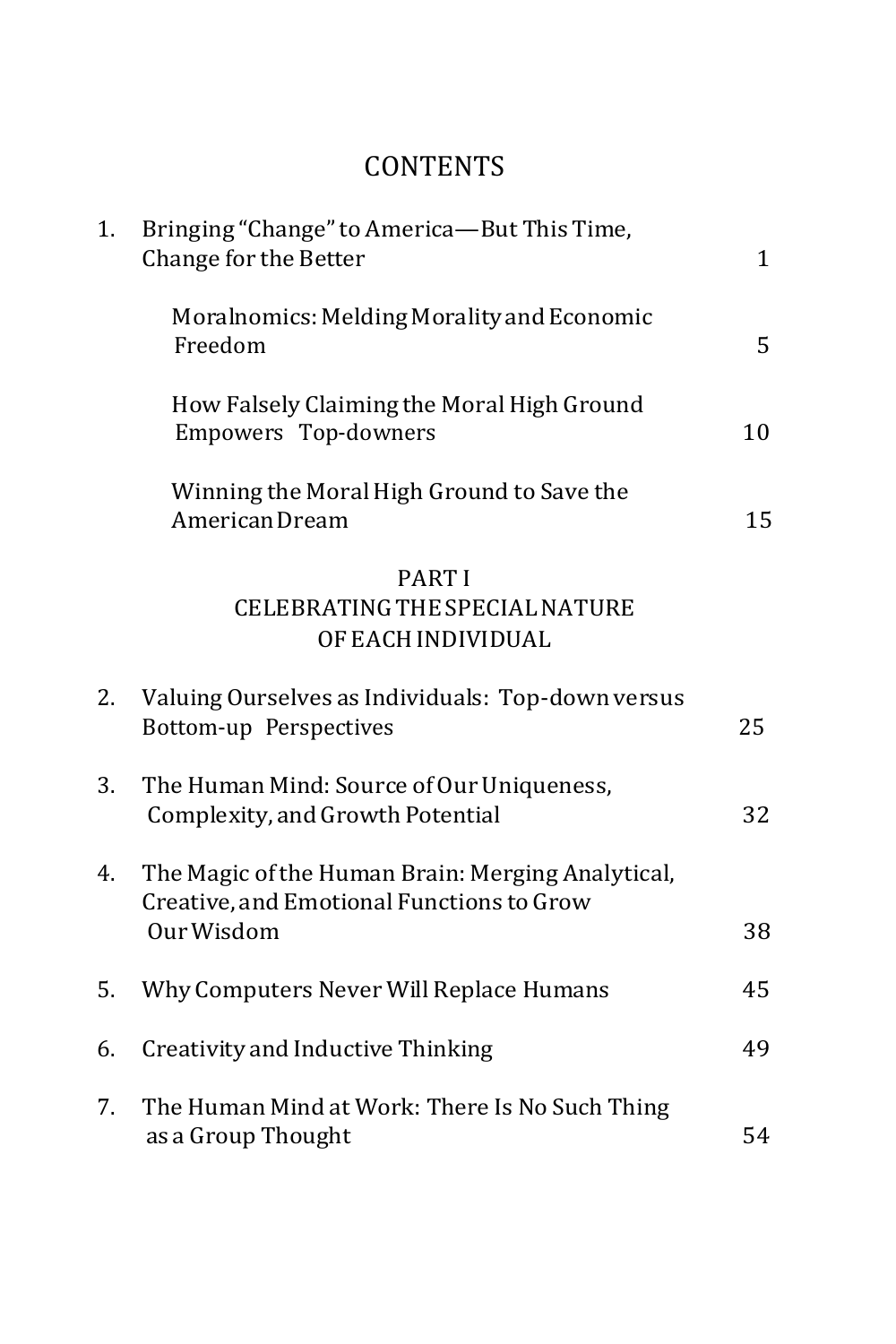## **CONTENTS**

| 1. | Bringing "Change" to America-But This Time,<br>Change for the Better                                         |    |
|----|--------------------------------------------------------------------------------------------------------------|----|
|    | Moralnomics: Melding Morality and Economic<br>Freedom                                                        | 5  |
|    | How Falsely Claiming the Moral High Ground<br>Empowers Top-downers                                           | 10 |
|    | Winning the Moral High Ground to Save the<br>American Dream                                                  | 15 |
|    | <b>PARTI</b><br>CELEBRATING THE SPECIAL NATURE<br>OF EACH INDIVIDUAL                                         |    |
| 2. | Valuing Ourselves as Individuals: Top-down versus<br>Bottom-up Perspectives                                  | 25 |
| 3. | The Human Mind: Source of Our Uniqueness,<br>Complexity, and Growth Potential                                | 32 |
| 4. | The Magic of the Human Brain: Merging Analytical,<br>Creative, and Emotional Functions to Grow<br>Our Wisdom | 38 |
| 5. | Why Computers Never Will Replace Humans                                                                      | 45 |
| 6. | Creativity and Inductive Thinking                                                                            | 49 |
| 7. | The Human Mind at Work: There Is No Such Thing<br>as a Group Thought                                         | 54 |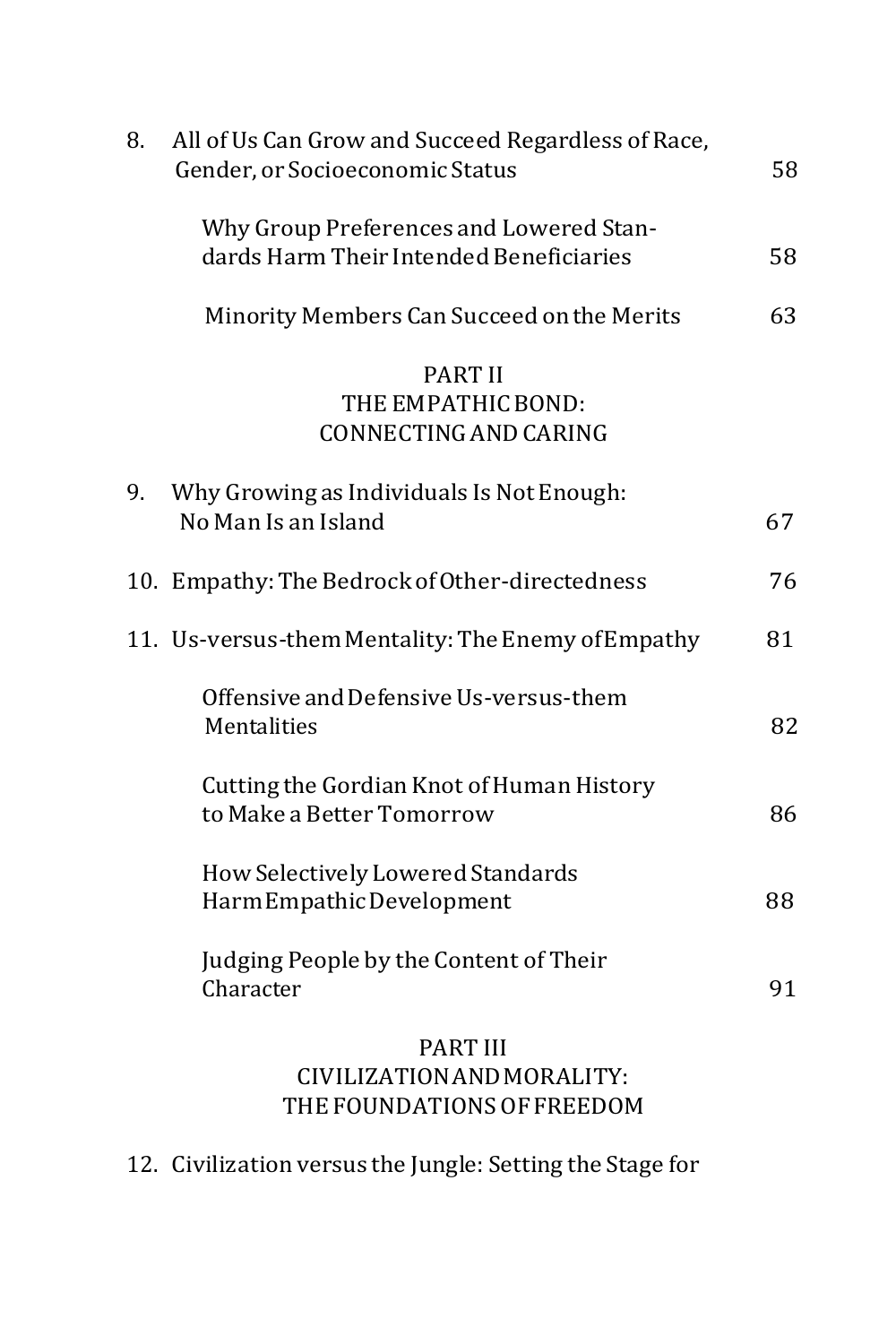| 8. | All of Us Can Grow and Succeed Regardless of Race,<br>Gender, or Socioeconomic Status | 58 |
|----|---------------------------------------------------------------------------------------|----|
|    | Why Group Preferences and Lowered Stan-<br>dards Harm Their Intended Beneficiaries    | 58 |
|    | Minority Members Can Succeed on the Merits                                            | 63 |
|    | <b>PART II</b><br>THE EMPATHIC BOND:<br>CONNECTING AND CARING                         |    |
| 9. | Why Growing as Individuals Is Not Enough:<br>No Man Is an Island                      | 67 |
|    | 10. Empathy: The Bedrock of Other-directedness                                        | 76 |
|    | 11. Us-versus-them Mentality: The Enemy of Empathy                                    | 81 |
|    | Offensive and Defensive Us-versus-them<br>Mentalities                                 | 82 |
|    | Cutting the Gordian Knot of Human History<br>to Make a Better Tomorrow                | 86 |
|    | How Selectively Lowered Standards<br>HarmEmpathicDevelopment                          | 88 |
|    | Judging People by the Content of Their<br>Character                                   | 91 |
|    | <b>PART III</b><br>CIVILIZATION AND MORALITY:                                         |    |

12. Civilization versus the Jungle: Setting the Stage for

THE FOUNDATIONS OFFREEDOM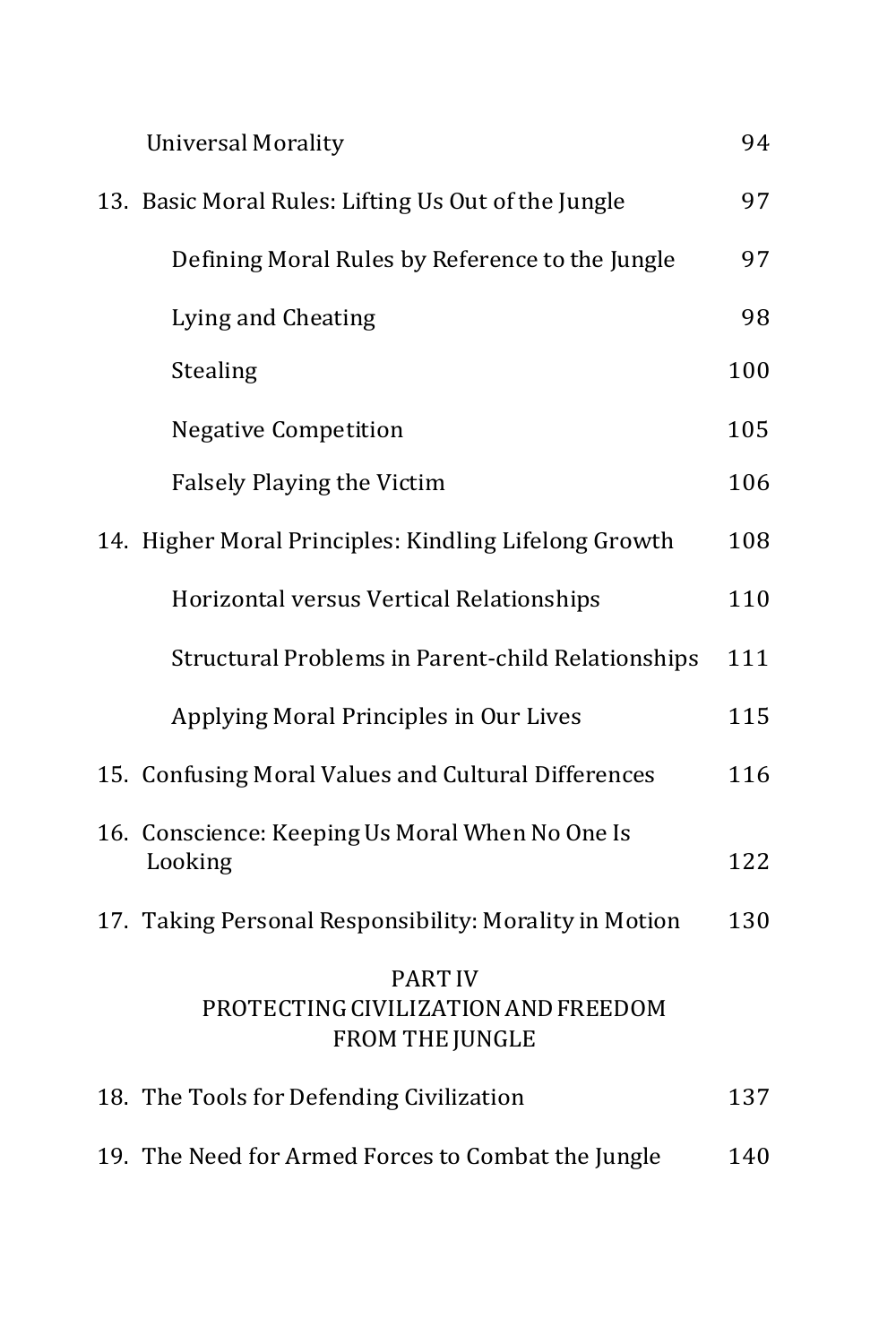| <b>Universal Morality</b>                                                | 94  |
|--------------------------------------------------------------------------|-----|
| 13. Basic Moral Rules: Lifting Us Out of the Jungle                      | 97  |
| Defining Moral Rules by Reference to the Jungle                          | 97  |
| Lying and Cheating                                                       | 98  |
| Stealing                                                                 | 100 |
| <b>Negative Competition</b>                                              | 105 |
| <b>Falsely Playing the Victim</b>                                        | 106 |
| 14. Higher Moral Principles: Kindling Lifelong Growth                    | 108 |
| Horizontal versus Vertical Relationships                                 | 110 |
| Structural Problems in Parent-child Relationships                        | 111 |
| Applying Moral Principles in Our Lives                                   | 115 |
| 15. Confusing Moral Values and Cultural Differences                      | 116 |
| 16. Conscience: Keeping Us Moral When No One Is<br>Looking               | 122 |
| 17. Taking Personal Responsibility: Morality in Motion                   | 130 |
| <b>PART IV</b><br>PROTECTING CIVILIZATION AND FREEDOM<br>FROM THE JUNGLE |     |
| 18. The Tools for Defending Civilization                                 | 137 |
| 19. The Need for Armed Forces to Combat the Jungle                       | 140 |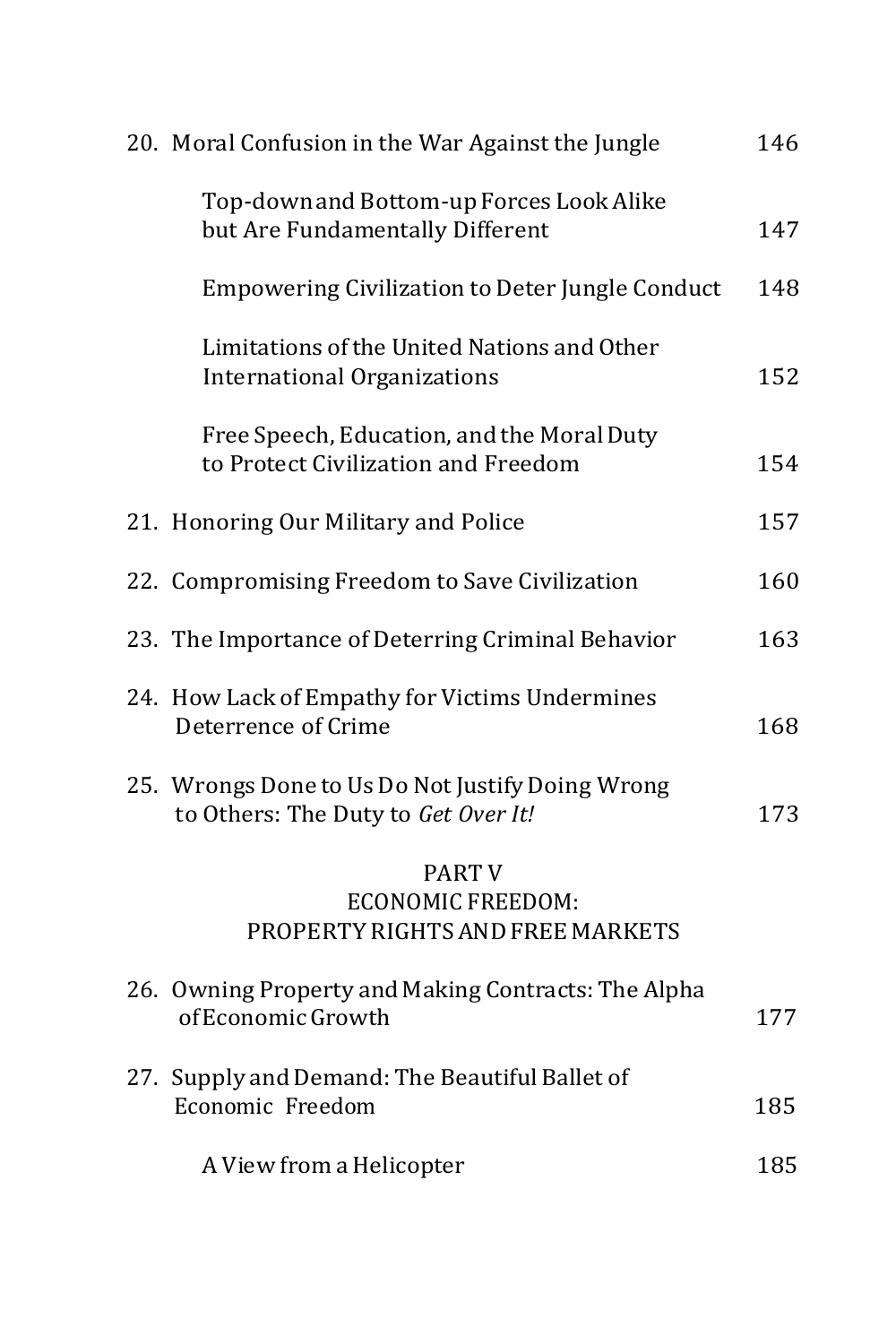| 20. Moral Confusion in the War Against the Jungle                                       | 146 |
|-----------------------------------------------------------------------------------------|-----|
| Top-down and Bottom-up Forces Look Alike<br>but Are Fundamentally Different             | 147 |
| <b>Empowering Civilization to Deter Jungle Conduct</b>                                  | 148 |
| Limitations of the United Nations and Other<br><b>International Organizations</b>       | 152 |
| Free Speech, Education, and the Moral Duty<br>to Protect Civilization and Freedom       | 154 |
| 21. Honoring Our Military and Police                                                    | 157 |
| 22. Compromising Freedom to Save Civilization                                           | 160 |
| 23. The Importance of Deterring Criminal Behavior                                       | 163 |
| 24. How Lack of Empathy for Victims Undermines<br>Deterrence of Crime                   | 168 |
| 25. Wrongs Done to Us Do Not Justify Doing Wrong<br>to Others: The Duty to Get Over It! | 173 |
| <b>PART V</b><br><b>ECONOMIC FREEDOM:</b><br>PROPERTY RIGHTS AND FREE MARKETS           |     |
| 26. Owning Property and Making Contracts: The Alpha<br>of Economic Growth               | 177 |
| 27. Supply and Demand: The Beautiful Ballet of<br>Economic Freedom                      | 185 |
| A View from a Helicopter                                                                | 185 |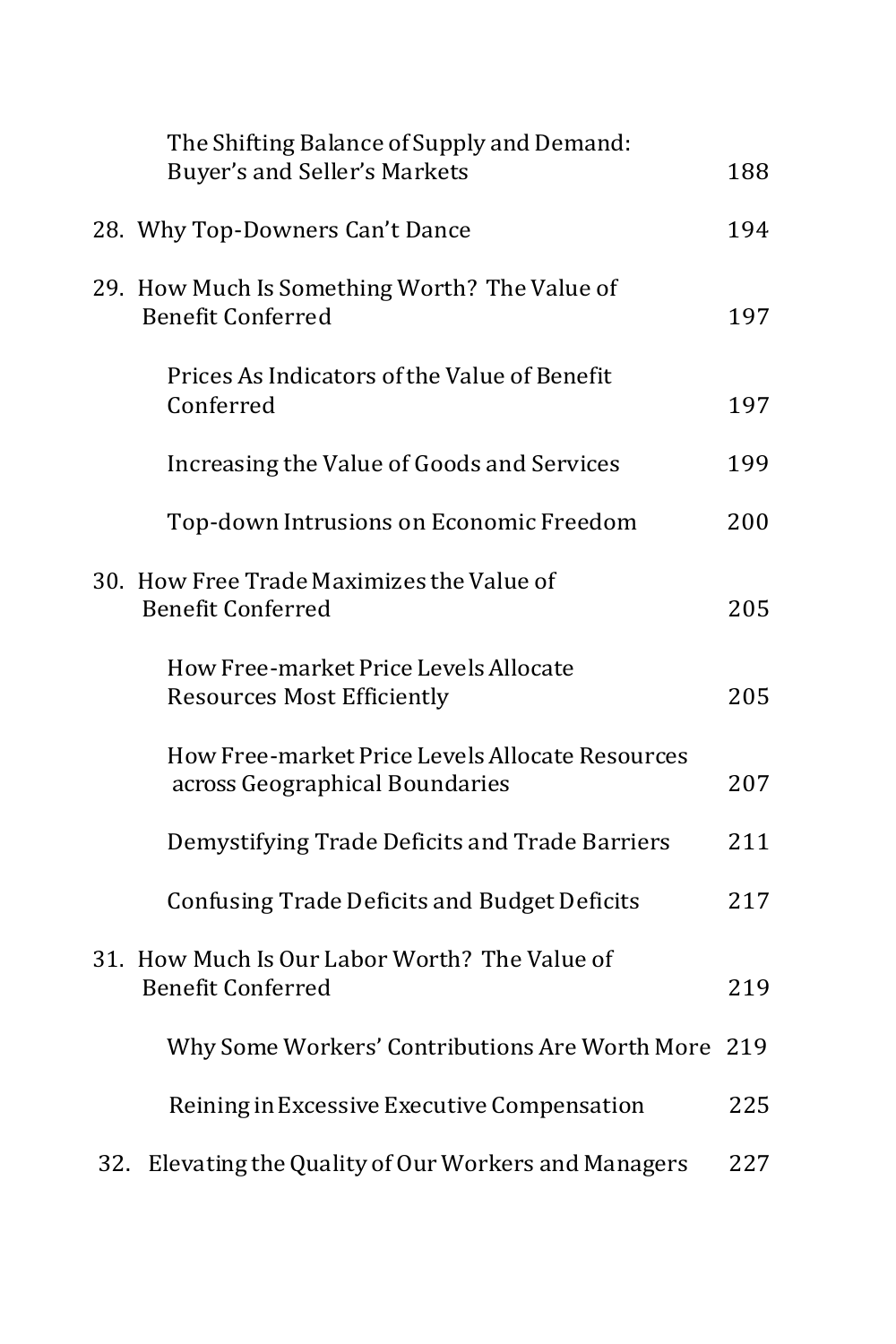|     | The Shifting Balance of Supply and Demand:<br>Buyer's and Seller's Markets        | 188 |
|-----|-----------------------------------------------------------------------------------|-----|
|     | 28. Why Top-Downers Can't Dance                                                   | 194 |
|     | 29. How Much Is Something Worth? The Value of<br><b>Benefit Conferred</b>         | 197 |
|     | Prices As Indicators of the Value of Benefit<br>Conferred                         | 197 |
|     | Increasing the Value of Goods and Services                                        | 199 |
|     | Top-down Intrusions on Economic Freedom                                           | 200 |
|     | 30. How Free Trade Maximizes the Value of<br><b>Benefit Conferred</b>             | 205 |
|     | How Free-market Price Levels Allocate<br><b>Resources Most Efficiently</b>        | 205 |
|     | How Free-market Price Levels Allocate Resources<br>across Geographical Boundaries | 207 |
|     | Demystifying Trade Deficits and Trade Barriers                                    | 211 |
|     | <b>Confusing Trade Deficits and Budget Deficits</b>                               | 217 |
|     | 31. How Much Is Our Labor Worth? The Value of<br><b>Benefit Conferred</b>         | 219 |
|     | Why Some Workers' Contributions Are Worth More                                    | 219 |
|     | Reining in Excessive Executive Compensation                                       | 225 |
| 32. | Elevating the Quality of Our Workers and Managers                                 | 227 |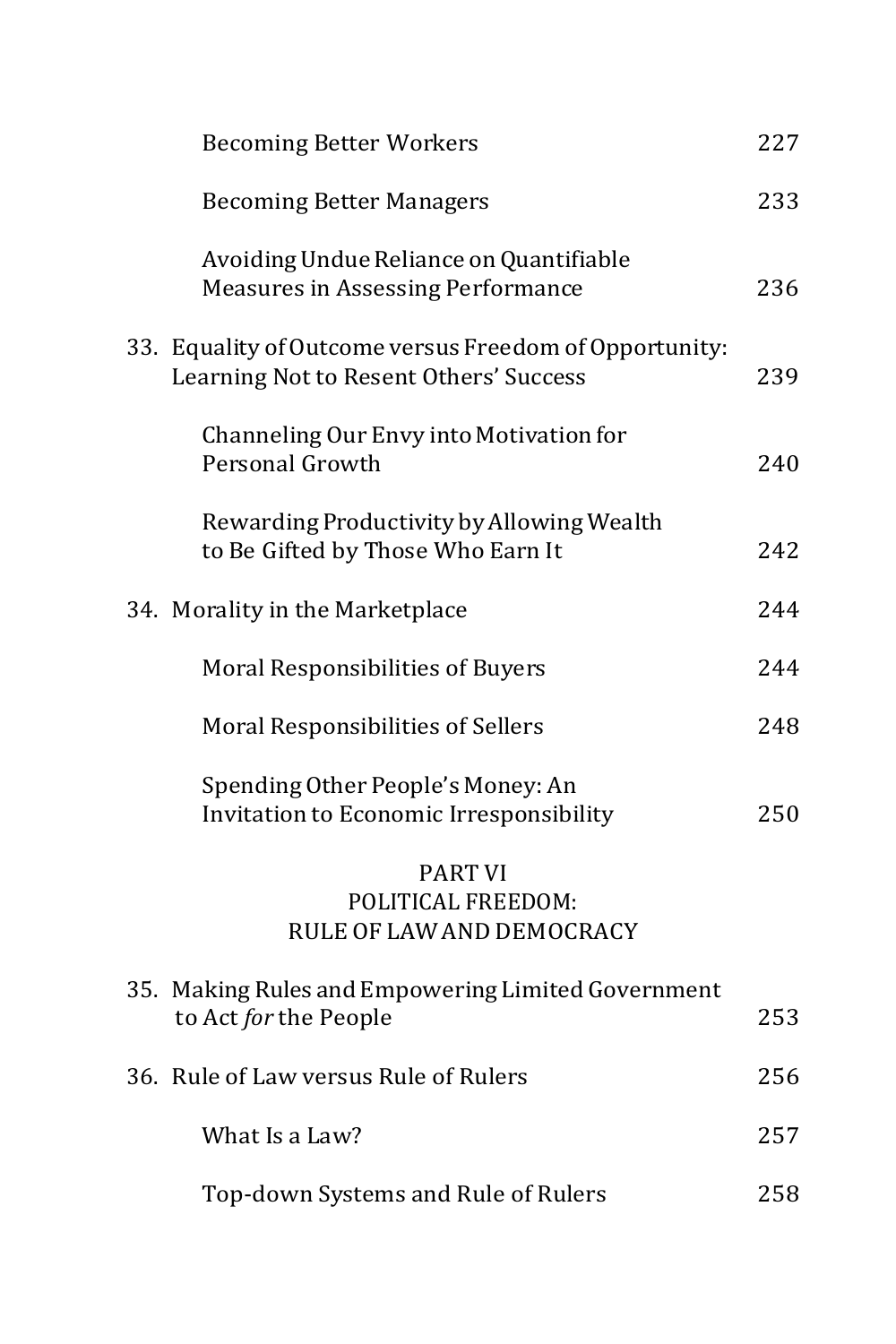| <b>Becoming Better Workers</b>                                                                   | 227 |
|--------------------------------------------------------------------------------------------------|-----|
| <b>Becoming Better Managers</b>                                                                  | 233 |
| Avoiding Undue Reliance on Quantifiable<br><b>Measures in Assessing Performance</b>              | 236 |
| 33. Equality of Outcome versus Freedom of Opportunity:<br>Learning Not to Resent Others' Success | 239 |
| Channeling Our Envy into Motivation for<br>Personal Growth                                       | 240 |
| Rewarding Productivity by Allowing Wealth<br>to Be Gifted by Those Who Earn It                   | 242 |
| 34. Morality in the Marketplace                                                                  | 244 |
| <b>Moral Responsibilities of Buyers</b>                                                          | 244 |
| Moral Responsibilities of Sellers                                                                | 248 |
| Spending Other People's Money: An<br>Invitation to Economic Irresponsibility                     | 250 |
| <b>PART VI</b><br>POLITICAL FREEDOM:<br>RULE OF LAW AND DEMOCRACY                                |     |
| 35. Making Rules and Empowering Limited Government<br>to Act for the People                      | 253 |
| 36. Rule of Law versus Rule of Rulers                                                            | 256 |
| What Is a Law?                                                                                   | 257 |
| Top-down Systems and Rule of Rulers                                                              | 258 |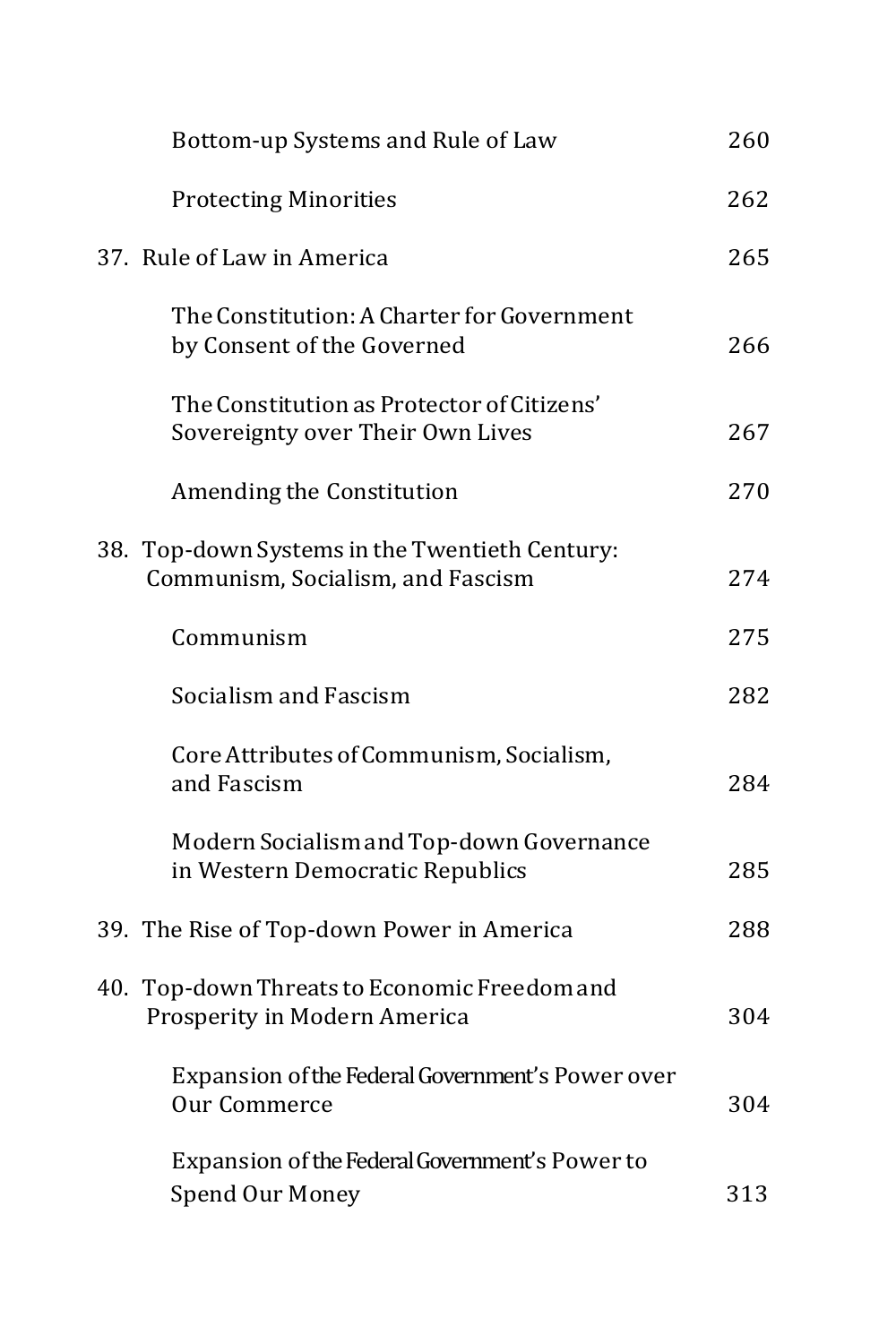| Bottom-up Systems and Rule of Law                                                   | 260 |
|-------------------------------------------------------------------------------------|-----|
| <b>Protecting Minorities</b>                                                        | 262 |
| 37. Rule of Law in America                                                          | 265 |
| The Constitution: A Charter for Government<br>by Consent of the Governed            | 266 |
| The Constitution as Protector of Citizens'<br>Sovereignty over Their Own Lives      | 267 |
| Amending the Constitution                                                           | 270 |
| 38. Top-down Systems in the Twentieth Century:<br>Communism, Socialism, and Fascism | 274 |
| Communism                                                                           | 275 |
| Socialism and Fascism                                                               | 282 |
| Core Attributes of Communism, Socialism,<br>and Fascism                             | 284 |
| Modern Socialism and Top-down Governance<br>in Western Democratic Republics         | 285 |
| 39. The Rise of Top-down Power in America                                           | 288 |
| 40. Top-down Threats to Economic Freedom and<br>Prosperity in Modern America        | 304 |
| Expansion of the Federal Government's Power over<br>Our Commerce                    | 304 |
| Expansion of the Federal Government's Power to<br><b>Spend Our Money</b>            | 313 |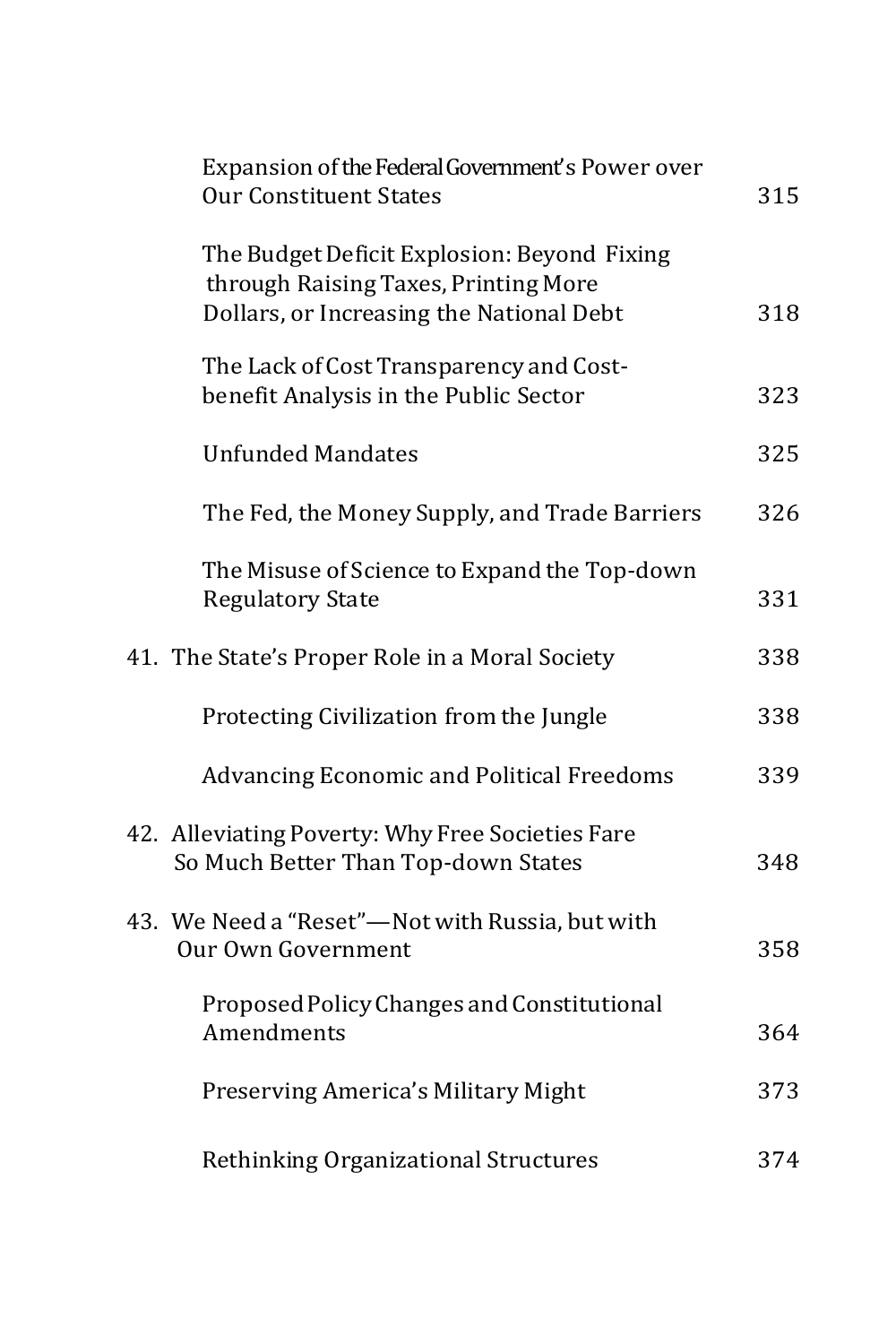| Expansion of the Federal Government's Power over<br><b>Our Constituent States</b>                                               | 315 |
|---------------------------------------------------------------------------------------------------------------------------------|-----|
| The Budget Deficit Explosion: Beyond Fixing<br>through Raising Taxes, Printing More<br>Dollars, or Increasing the National Debt | 318 |
| The Lack of Cost Transparency and Cost-<br>benefit Analysis in the Public Sector                                                | 323 |
| <b>Unfunded Mandates</b>                                                                                                        | 325 |
| The Fed, the Money Supply, and Trade Barriers                                                                                   | 326 |
| The Misuse of Science to Expand the Top-down<br><b>Regulatory State</b>                                                         | 331 |
| 41. The State's Proper Role in a Moral Society                                                                                  | 338 |
| Protecting Civilization from the Jungle                                                                                         | 338 |
| <b>Advancing Economic and Political Freedoms</b>                                                                                | 339 |
| 42. Alleviating Poverty: Why Free Societies Fare<br>So Much Better Than Top-down States                                         | 348 |
| 43. We Need a "Reset"—Not with Russia, but with<br>Our Own Government                                                           | 358 |
| Proposed Policy Changes and Constitutional<br>Amendments                                                                        | 364 |
| Preserving America's Military Might                                                                                             | 373 |
| Rethinking Organizational Structures                                                                                            | 374 |